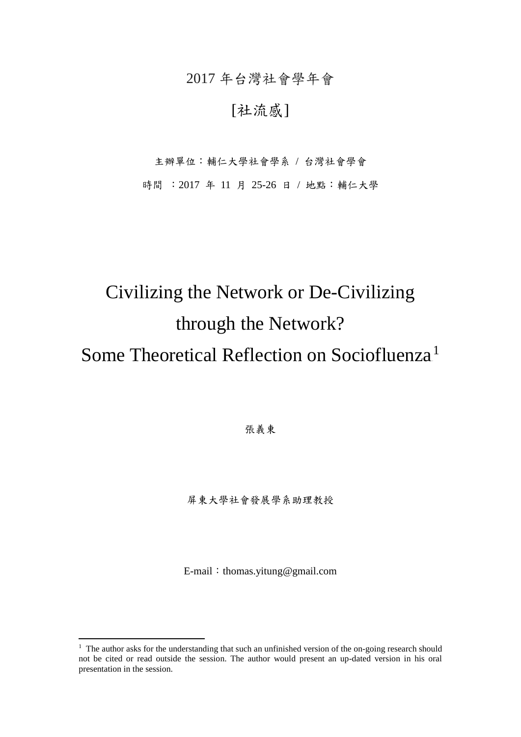2017 年台灣社會學年會

### [社流感]

主辦單位:輔仁大學社會學系 / 台灣社會學會

時間 : 2017 年 11 月 25-26 日 / 地點: 輔仁大學

# Civilizing the Network or De-Civilizing through the Network?

## Some Theoretical Reflection on Sociofluenza<sup>1</sup>

張義東

屏東大學社會發展學系助理教授

E-mail: thomas.yitung@gmail.com

1

 $1$  The author asks for the understanding that such an unfinished version of the on-going research should not be cited or read outside the session. The author would present an up-dated version in his oral presentation in the session.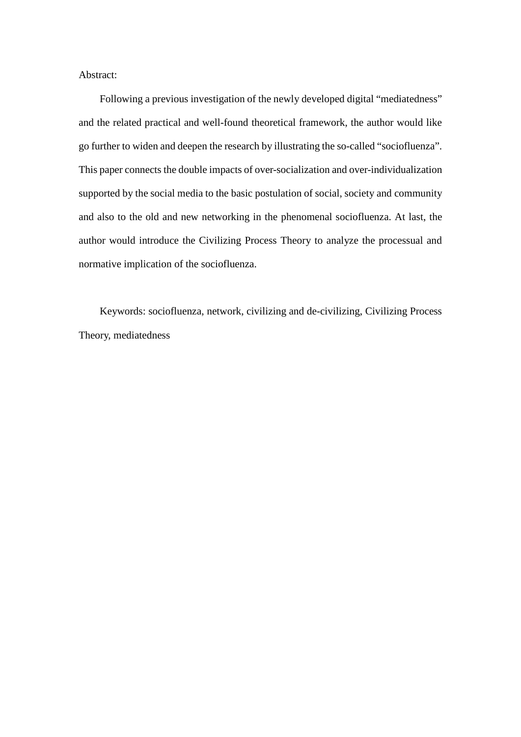Abstract:

Following a previous investigation of the newly developed digital "mediatedness" and the related practical and well-found theoretical framework, the author would like go further to widen and deepen the research by illustrating the so-called "sociofluenza". This paper connects the double impacts of over-socialization and over-individualization supported by the social media to the basic postulation of social, society and community and also to the old and new networking in the phenomenal sociofluenza. At last, the author would introduce the Civilizing Process Theory to analyze the processual and normative implication of the sociofluenza.

Keywords: sociofluenza, network, civilizing and de-civilizing, Civilizing Process Theory, mediatedness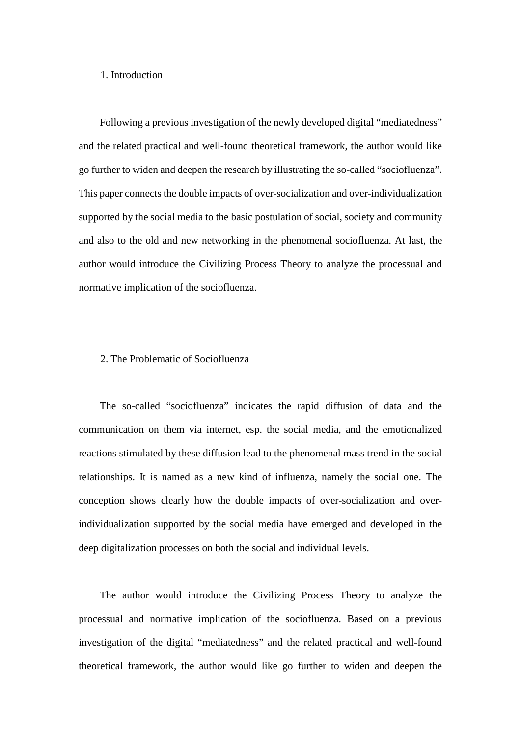#### 1. Introduction

Following a previous investigation of the newly developed digital "mediatedness" and the related practical and well-found theoretical framework, the author would like go further to widen and deepen the research by illustrating the so-called "sociofluenza". This paper connects the double impacts of over-socialization and over-individualization supported by the social media to the basic postulation of social, society and community and also to the old and new networking in the phenomenal sociofluenza. At last, the author would introduce the Civilizing Process Theory to analyze the processual and normative implication of the sociofluenza.

#### 2. The Problematic of Sociofluenza

The so-called "sociofluenza" indicates the rapid diffusion of data and the communication on them via internet, esp. the social media, and the emotionalized reactions stimulated by these diffusion lead to the phenomenal mass trend in the social relationships. It is named as a new kind of influenza, namely the social one. The conception shows clearly how the double impacts of over-socialization and overindividualization supported by the social media have emerged and developed in the deep digitalization processes on both the social and individual levels.

The author would introduce the Civilizing Process Theory to analyze the processual and normative implication of the sociofluenza. Based on a previous investigation of the digital "mediatedness" and the related practical and well-found theoretical framework, the author would like go further to widen and deepen the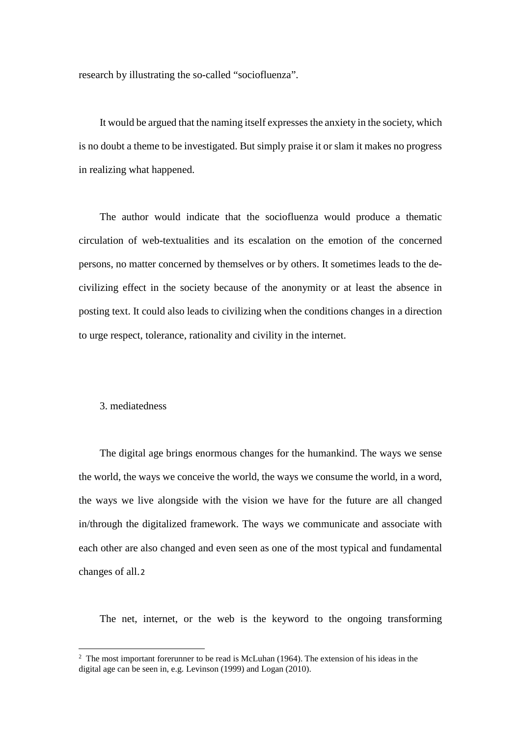research by illustrating the so-called "sociofluenza".

It would be argued that the naming itself expresses the anxiety in the society, which is no doubt a theme to be investigated. But simply praise it or slam it makes no progress in realizing what happened.

The author would indicate that the sociofluenza would produce a thematic circulation of web-textualities and its escalation on the emotion of the concerned persons, no matter concerned by themselves or by others. It sometimes leads to the decivilizing effect in the society because of the anonymity or at least the absence in posting text. It could also leads to civilizing when the conditions changes in a direction to urge respect, tolerance, rationality and civility in the internet.

#### 3. mediatedness

-

The digital age brings enormous changes for the humankind. The ways we sense the world, the ways we conceive the world, the ways we consume the world, in a word, the ways we live alongside with the vision we have for the future are all changed in/through the digitalized framework. The ways we communicate and associate with each other are also changed and even seen as one of the most typical and fundamental changes of all.2

The net, internet, or the web is the keyword to the ongoing transforming

<sup>&</sup>lt;sup>2</sup> The most important forerunner to be read is McLuhan (1964). The extension of his ideas in the digital age can be seen in, e.g. Levinson (1999) and Logan (2010).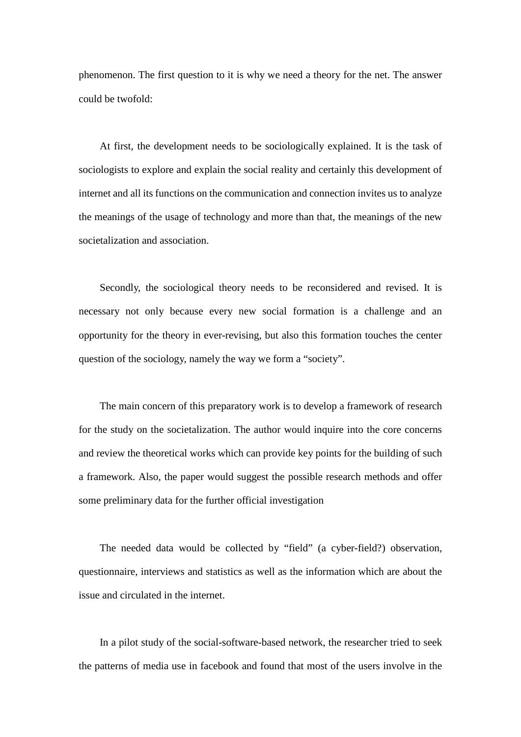phenomenon. The first question to it is why we need a theory for the net. The answer could be twofold:

At first, the development needs to be sociologically explained. It is the task of sociologists to explore and explain the social reality and certainly this development of internet and all its functions on the communication and connection invites us to analyze the meanings of the usage of technology and more than that, the meanings of the new societalization and association.

Secondly, the sociological theory needs to be reconsidered and revised. It is necessary not only because every new social formation is a challenge and an opportunity for the theory in ever-revising, but also this formation touches the center question of the sociology, namely the way we form a "society".

The main concern of this preparatory work is to develop a framework of research for the study on the societalization. The author would inquire into the core concerns and review the theoretical works which can provide key points for the building of such a framework. Also, the paper would suggest the possible research methods and offer some preliminary data for the further official investigation

The needed data would be collected by "field" (a cyber-field?) observation, questionnaire, interviews and statistics as well as the information which are about the issue and circulated in the internet.

In a pilot study of the social-software-based network, the researcher tried to seek the patterns of media use in facebook and found that most of the users involve in the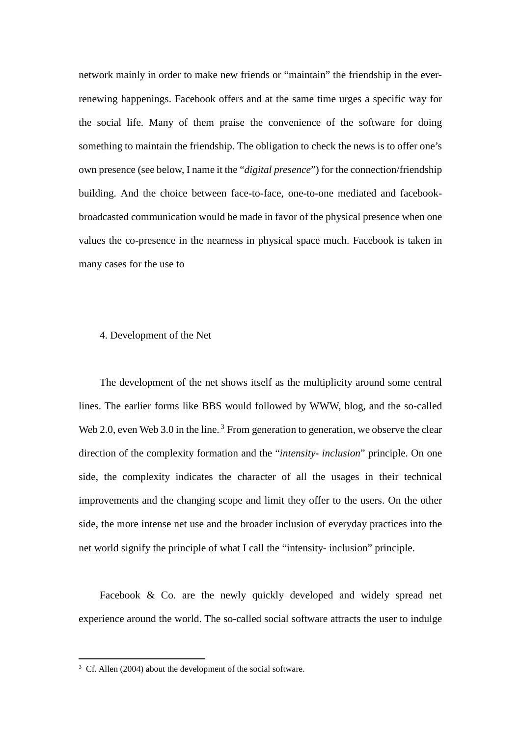network mainly in order to make new friends or "maintain" the friendship in the everrenewing happenings. Facebook offers and at the same time urges a specific way for the social life. Many of them praise the convenience of the software for doing something to maintain the friendship. The obligation to check the news is to offer one's own presence (see below, I name it the "*digital presence*") for the connection/friendship building. And the choice between face-to-face, one-to-one mediated and facebookbroadcasted communication would be made in favor of the physical presence when one values the co-presence in the nearness in physical space much. Facebook is taken in many cases for the use to

#### 4. Development of the Net

The development of the net shows itself as the multiplicity around some central lines. The earlier forms like BBS would followed by WWW, blog, and the so-called Web 2.0, even Web 3.0 in the line.<sup>3</sup> From generation to generation, we observe the clear direction of the complexity formation and the "*intensity- inclusion*" principle. On one side, the complexity indicates the character of all the usages in their technical improvements and the changing scope and limit they offer to the users. On the other side, the more intense net use and the broader inclusion of everyday practices into the net world signify the principle of what I call the "intensity- inclusion" principle.

Facebook & Co. are the newly quickly developed and widely spread net experience around the world. The so-called social software attracts the user to indulge

-

<sup>&</sup>lt;sup>3</sup> Cf. Allen (2004) about the development of the social software.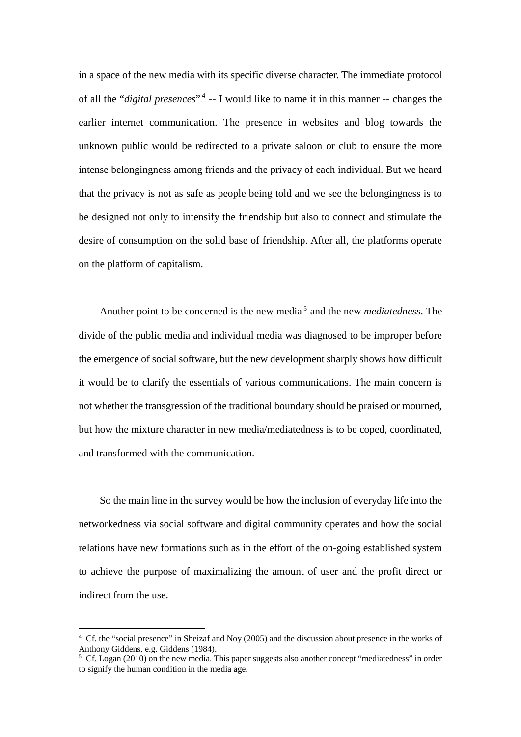in a space of the new media with its specific diverse character. The immediate protocol of all the "*digital presences*".<sup>4</sup> -- I would like to name it in this manner -- changes the earlier internet communication. The presence in websites and blog towards the unknown public would be redirected to a private saloon or club to ensure the more intense belongingness among friends and the privacy of each individual. But we heard that the privacy is not as safe as people being told and we see the belongingness is to be designed not only to intensify the friendship but also to connect and stimulate the desire of consumption on the solid base of friendship. After all, the platforms operate on the platform of capitalism.

Another point to be concerned is the new media<sup>5</sup> and the new *mediatedness*. The divide of the public media and individual media was diagnosed to be improper before the emergence of social software, but the new development sharply shows how difficult it would be to clarify the essentials of various communications. The main concern is not whether the transgression of the traditional boundary should be praised or mourned, but how the mixture character in new media/mediatedness is to be coped, coordinated, and transformed with the communication.

So the main line in the survey would be how the inclusion of everyday life into the networkedness via social software and digital community operates and how the social relations have new formations such as in the effort of the on-going established system to achieve the purpose of maximalizing the amount of user and the profit direct or indirect from the use.

-

<sup>4</sup> Cf. the "social presence" in Sheizaf and Noy (2005) and the discussion about presence in the works of Anthony Giddens, e.g. Giddens (1984).

<sup>&</sup>lt;sup>5</sup> Cf. Logan (2010) on the new media. This paper suggests also another concept "mediatedness" in order to signify the human condition in the media age.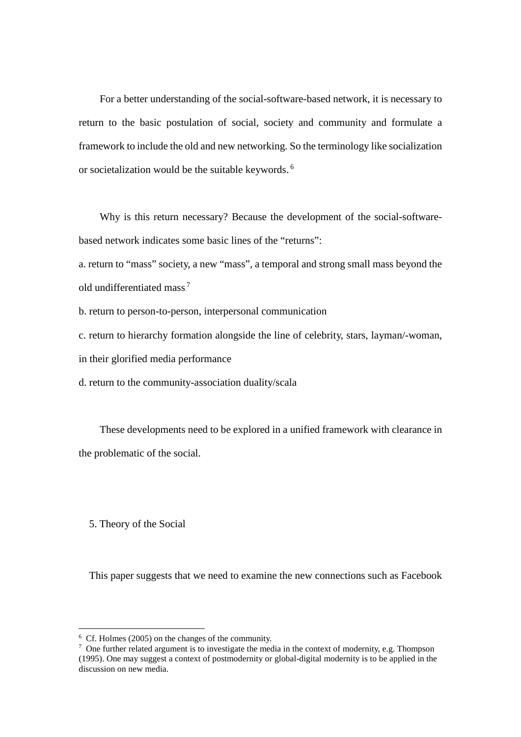For a better understanding of the social-software-based network, it is necessary to return to the basic postulation of social, society and community and formulate a framework to include the old and new networking. So the terminology like socialization or societalization would be the suitable keywords.<sup>6</sup>

Why is this return necessary? Because the development of the social-softwarebased network indicates some basic lines of the "returns":

a. return to "mass" society, a new "mass", a temporal and strong small mass beyond the old undifferentiated mass.<sup>7</sup>

b. return to person-to-person, interpersonal communication

c. return to hierarchy formation alongside the line of celebrity, stars, layman/-woman,

in their glorified media performance

d. return to the community-association duality/scala

 These developments need to be explored in a unified framework with clearance in the problematic of the social.

5. Theory of the Social

-

This paper suggests that we need to examine the new connections such as Facebook

<sup>6</sup> Cf. Holmes (2005) on the changes of the community.

<sup>&</sup>lt;sup>7</sup> One further related argument is to investigate the media in the context of modernity, e.g. Thompson (1995). One may suggest a context of postmodernity or global-digital modernity is to be applied in the discussion on new media.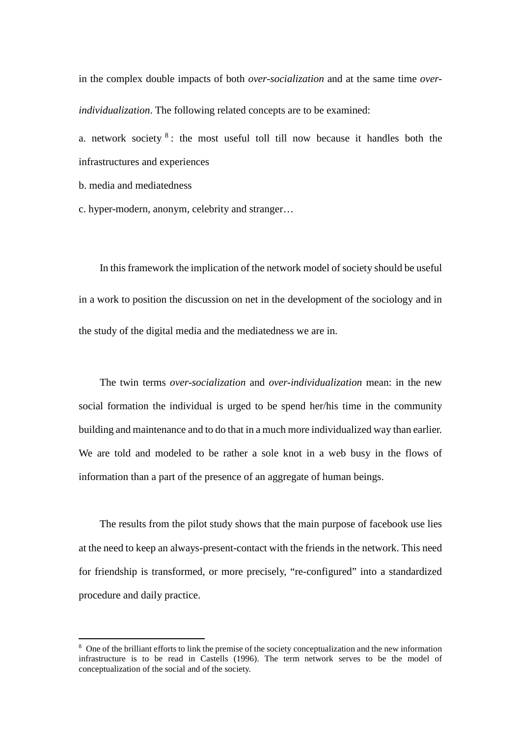in the complex double impacts of both *over-socialization* and at the same time *overindividualization*. The following related concepts are to be examined:

a. network society.<sup>8</sup>: the most useful toll till now because it handles both the infrastructures and experiences

b. media and mediatedness

1

c. hyper-modern, anonym, celebrity and stranger…

In this framework the implication of the network model of society should be useful in a work to position the discussion on net in the development of the sociology and in the study of the digital media and the mediatedness we are in.

The twin terms *over-socialization* and *over-individualization* mean: in the new social formation the individual is urged to be spend her/his time in the community building and maintenance and to do that in a much more individualized way than earlier. We are told and modeled to be rather a sole knot in a web busy in the flows of information than a part of the presence of an aggregate of human beings.

 The results from the pilot study shows that the main purpose of facebook use lies at the need to keep an always-present-contact with the friends in the network. This need for friendship is transformed, or more precisely, "re-configured" into a standardized procedure and daily practice.

<sup>&</sup>lt;sup>8</sup> One of the brilliant efforts to link the premise of the society conceptualization and the new information infrastructure is to be read in Castells (1996). The term network serves to be the model of conceptualization of the social and of the society.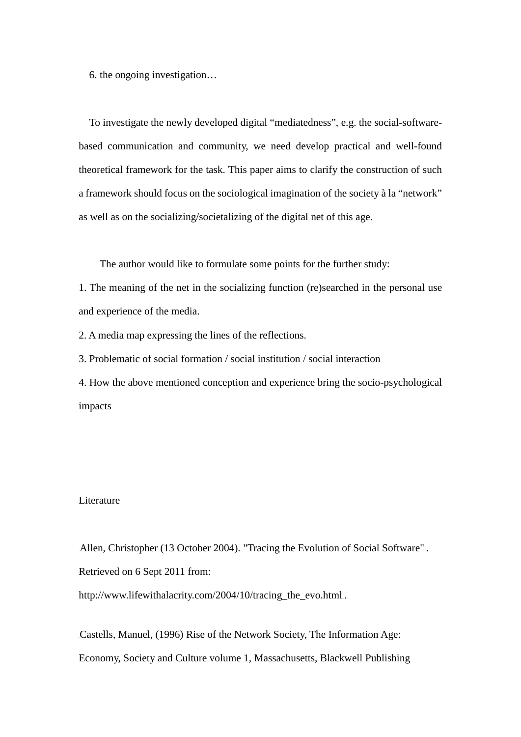6. the ongoing investigation…

 To investigate the newly developed digital "mediatedness", e.g. the social-softwarebased communication and community, we need develop practical and well-found theoretical framework for the task. This paper aims to clarify the construction of such a framework should focus on the sociological imagination of the society à la "network" as well as on the socializing/societalizing of the digital net of this age.

The author would like to formulate some points for the further study:

1. The meaning of the net in the socializing function (re)searched in the personal use and experience of the media.

2. A media map expressing the lines of the reflections.

3. Problematic of social formation / social institution / social interaction

4. How the above mentioned conception and experience bring the socio-psychological impacts

#### Literature

Allen, Christopher (13 October 2004). "Tracing the Evolution of Social Software".. Retrieved on 6 Sept 2011 from:

http://www.lifewithalacrity.com/2004/10/tracing\_the\_evo.html..

Castells, Manuel, (1996) Rise of the Network Society, The Information Age: Economy, Society and Culture volume 1, Massachusetts, Blackwell Publishing